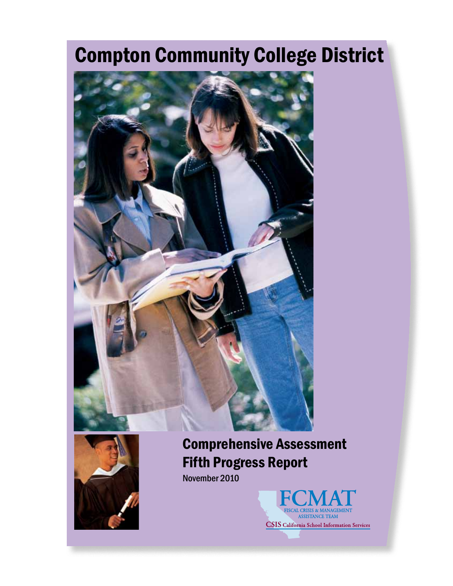# Compton Community College District





# Comprehensive Assessment Fifth Progress Report

November 2010

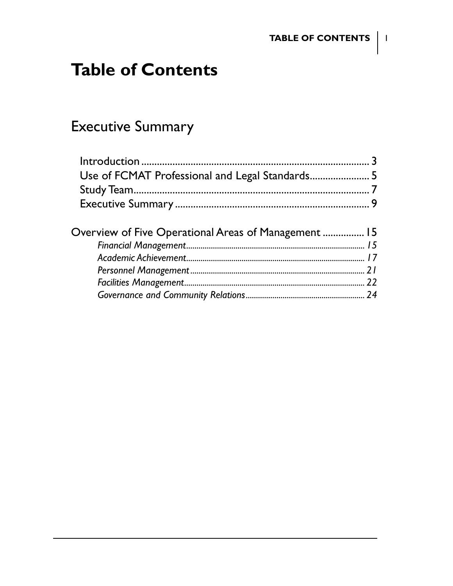# **Table of Contents**

# **Executive Summary**

| Overview of Five Operational Areas of Management  15 |  |
|------------------------------------------------------|--|
|                                                      |  |
|                                                      |  |
|                                                      |  |
|                                                      |  |
|                                                      |  |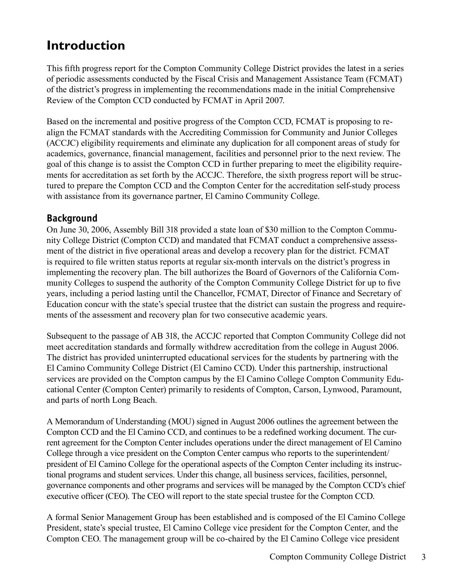# **Introduction**

This fifth progress report for the Compton Community College District provides the latest in a series of periodic assessments conducted by the Fiscal Crisis and Management Assistance Team (FCMAT) of the district's progress in implementing the recommendations made in the initial Comprehensive Review of the Compton CCD conducted by FCMAT in April 2007.

Based on the incremental and positive progress of the Compton CCD, FCMAT is proposing to realign the FCMAT standards with the Accrediting Commission for Community and Junior Colleges (ACCJC) eligibility requirements and eliminate any duplication for all component areas of study for academics, governance, financial management, facilities and personnel prior to the next review. The goal of this change is to assist the Compton CCD in further preparing to meet the eligibility requirements for accreditation as set forth by the ACCJC. Therefore, the sixth progress report will be structured to prepare the Compton CCD and the Compton Center for the accreditation self-study process with assistance from its governance partner, El Camino Community College.

#### **Background**

On June 30, 2006, Assembly Bill 318 provided a state loan of \$30 million to the Compton Community College District (Compton CCD) and mandated that FCMAT conduct a comprehensive assessment of the district in five operational areas and develop a recovery plan for the district. FCMAT is required to file written status reports at regular six-month intervals on the district's progress in implementing the recovery plan. The bill authorizes the Board of Governors of the California Community Colleges to suspend the authority of the Compton Community College District for up to five years, including a period lasting until the Chancellor, FCMAT, Director of Finance and Secretary of Education concur with the state's special trustee that the district can sustain the progress and requirements of the assessment and recovery plan for two consecutive academic years.

Subsequent to the passage of AB 318, the ACCJC reported that Compton Community College did not meet accreditation standards and formally withdrew accreditation from the college in August 2006. The district has provided uninterrupted educational services for the students by partnering with the El Camino Community College District (El Camino CCD). Under this partnership, instructional services are provided on the Compton campus by the El Camino College Compton Community Educational Center (Compton Center) primarily to residents of Compton, Carson, Lynwood, Paramount, and parts of north Long Beach.

A Memorandum of Understanding (MOU) signed in August 2006 outlines the agreement between the Compton CCD and the El Camino CCD, and continues to be a redefined working document. The current agreement for the Compton Center includes operations under the direct management of El Camino College through a vice president on the Compton Center campus who reports to the superintendent/ president of El Camino College for the operational aspects of the Compton Center including its instructional programs and student services. Under this change, all business services, facilities, personnel, governance components and other programs and services will be managed by the Compton CCD's chief executive officer (CEO). The CEO will report to the state special trustee for the Compton CCD.

A formal Senior Management Group has been established and is composed of the El Camino College President, state's special trustee, El Camino College vice president for the Compton Center, and the Compton CEO. The management group will be co-chaired by the El Camino College vice president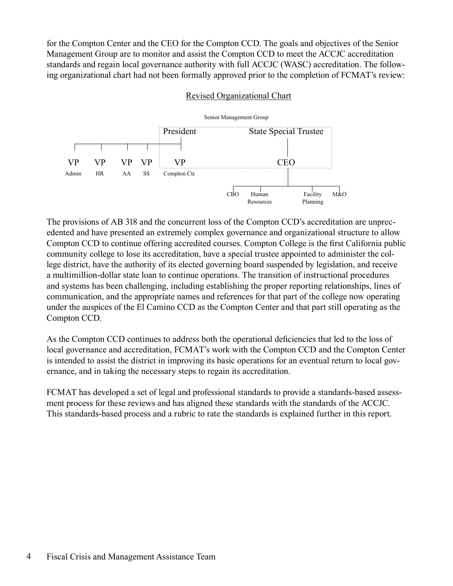for the Compton Center and the CEO for the Compton CCD. The goals and objectives of the Senior Management Group are to monitor and assist the Compton CCD to meet the ACCJC accreditation standards and regain local governance authority with full ACCJC (WASC) accreditation. The following organizational chart had not been formally approved prior to the completion of FCMAT's review:

#### Revised Organizational Chart



The provisions of AB 318 and the concurrent loss of the Compton CCD's accreditation are unprecedented and have presented an extremely complex governance and organizational structure to allow Compton CCD to continue offering accredited courses. Compton College is the first California public community college to lose its accreditation, have a special trustee appointed to administer the college district, have the authority of its elected governing board suspended by legislation, and receive a multimillion-dollar state loan to continue operations. The transition of instructional procedures and systems has been challenging, including establishing the proper reporting relationships, lines of communication, and the appropriate names and references for that part of the college now operating under the auspices of the El Camino CCD as the Compton Center and that part still operating as the Compton CCD.

As the Compton CCD continues to address both the operational deficiencies that led to the loss of local governance and accreditation, FCMAT's work with the Compton CCD and the Compton Center is intended to assist the district in improving its basic operations for an eventual return to local governance, and in taking the necessary steps to regain its accreditation.

FCMAT has developed a set of legal and professional standards to provide a standards-based assessment process for these reviews and has aligned these standards with the standards of the ACCJC. This standards-based process and a rubric to rate the standards is explained further in this report.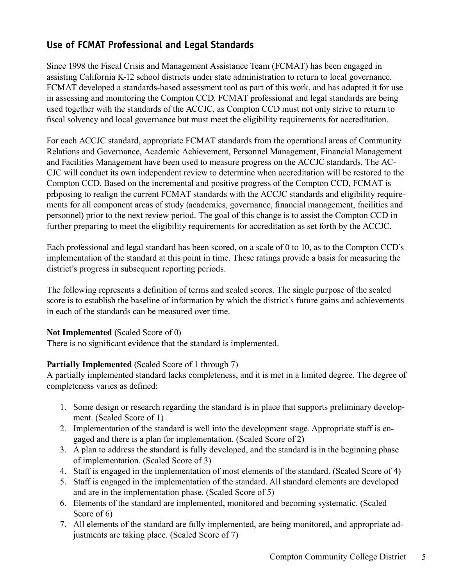#### **Use of FCMAT Professional and Legal Standards**

Since 1998 the Fiscal Crisis and Management Assistance Team (FCMAT) has been engaged in assisting California K-12 school districts under state administration to return to local governance. FCMAT developed a standards-based assessment tool as part of this work, and has adapted it for use in assessing and monitoring the Compton CCD. FCMAT professional and legal standards are being used together with the standards of the ACCJC, as Compton CCD must not only strive to return to fiscal solvency and local governance but must meet the eligibility requirements for accreditation.

For each ACCJC standard, appropriate FCMAT standards from the operational areas of Community Relations and Governance, Academic Achievement, Personnel Management, Financial Management and Facilities Management have been used to measure progress on the ACCJC standards. The AC-CJC will conduct its own independent review to determine when accreditation will be restored to the Compton CCD. Based on the incremental and positive progress of the Compton CCD, FCMAT is proposing to realign the current FCMAT standards with the ACCJC standards and eligibility requirements for all component areas of study (academics, governance, financial management, facilities and personnel) prior to the next review period. The goal of this change is to assist the Compton CCD in further preparing to meet the eligibility requirements for accreditation as set forth by the ACCJC.

Each professional and legal standard has been scored, on a scale of 0 to 10, as to the Compton CCD's implementation of the standard at this point in time. These ratings provide a basis for measuring the district's progress in subsequent reporting periods.

The following represents a definition of terms and scaled scores. The single purpose of the scaled score is to establish the baseline of information by which the district's future gains and achievements in each of the standards can be measured over time.

#### **Not Implemented** (Scaled Score of 0)

There is no significant evidence that the standard is implemented.

#### **Partially Implemented** (Scaled Score of 1 through 7)

A partially implemented standard lacks completeness, and it is met in a limited degree. The degree of completeness varies as defined:

- 1. Some design or research regarding the standard is in place that supports preliminary development. (Scaled Score of 1)
- 2. Implementation of the standard is well into the development stage. Appropriate staff is engaged and there is a plan for implementation. (Scaled Score of 2)
- 3. A plan to address the standard is fully developed, and the standard is in the beginning phase of implementation. (Scaled Score of 3)
- 4. Staff is engaged in the implementation of most elements of the standard. (Scaled Score of 4)
- 5. Staff is engaged in the implementation of the standard. All standard elements are developed and are in the implementation phase. (Scaled Score of 5)
- 6. Elements of the standard are implemented, monitored and becoming systematic. (Scaled Score of 6)
- 7. All elements of the standard are fully implemented, are being monitored, and appropriate adjustments are taking place. (Scaled Score of 7)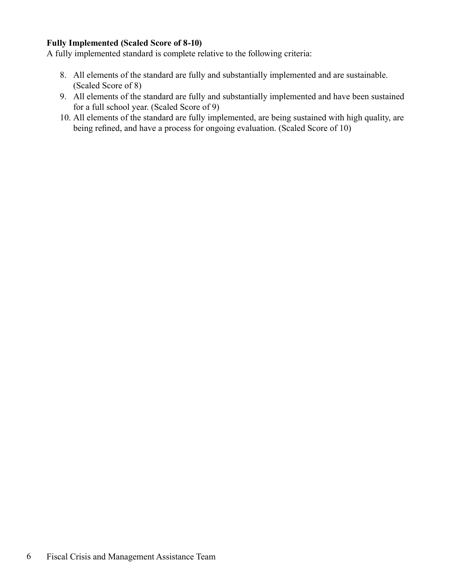#### **Fully Implemented (Scaled Score of 8-10)**

A fully implemented standard is complete relative to the following criteria:

- 8. All elements of the standard are fully and substantially implemented and are sustainable. (Scaled Score of 8)
- 9. All elements of the standard are fully and substantially implemented and have been sustained for a full school year. (Scaled Score of 9)
- 10. All elements of the standard are fully implemented, are being sustained with high quality, are being refined, and have a process for ongoing evaluation. (Scaled Score of 10)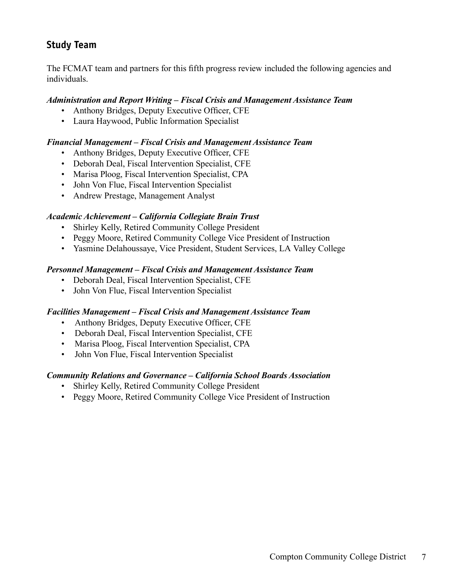#### **Study Team**

The FCMAT team and partners for this fifth progress review included the following agencies and individuals.

#### *Administration and Report Writing – Fiscal Crisis and Management Assistance Team*

- Anthony Bridges, Deputy Executive Officer, CFE
- Laura Haywood, Public Information Specialist

#### *Financial Management – Fiscal Crisis and Management Assistance Team*

- Anthony Bridges, Deputy Executive Officer, CFE
- Deborah Deal, Fiscal Intervention Specialist, CFE
- Marisa Ploog, Fiscal Intervention Specialist, CPA
- John Von Flue, Fiscal Intervention Specialist
- Andrew Prestage, Management Analyst

#### *Academic Achievement – California Collegiate Brain Trust*

- Shirley Kelly, Retired Community College President
- Peggy Moore, Retired Community College Vice President of Instruction
- Yasmine Delahoussaye, Vice President, Student Services, LA Valley College

#### *Personnel Management – Fiscal Crisis and Management Assistance Team*

- Deborah Deal, Fiscal Intervention Specialist, CFE
- John Von Flue, Fiscal Intervention Specialist

#### *Facilities Management – Fiscal Crisis and Management Assistance Team*

- Anthony Bridges, Deputy Executive Officer, CFE
- Deborah Deal, Fiscal Intervention Specialist, CFE
- Marisa Ploog, Fiscal Intervention Specialist, CPA
- John Von Flue, Fiscal Intervention Specialist

#### *Community Relations and Governance – California School Boards Association*

- Shirley Kelly, Retired Community College President
- Peggy Moore, Retired Community College Vice President of Instruction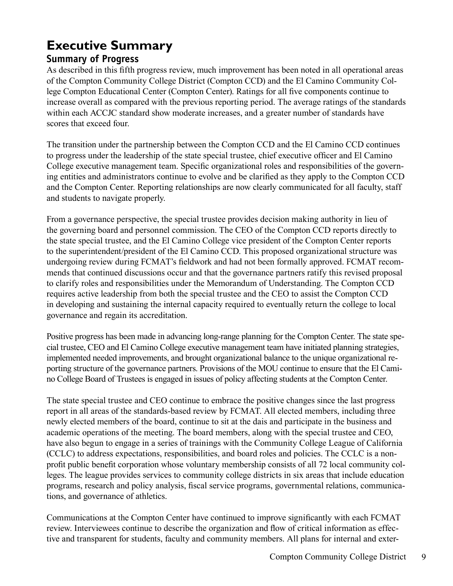# **Executive Summary**

#### **Summary of Progress**

As described in this fifth progress review, much improvement has been noted in all operational areas of the Compton Community College District (Compton CCD) and the El Camino Community College Compton Educational Center (Compton Center). Ratings for all five components continue to increase overall as compared with the previous reporting period. The average ratings of the standards within each ACCJC standard show moderate increases, and a greater number of standards have scores that exceed four.

The transition under the partnership between the Compton CCD and the El Camino CCD continues to progress under the leadership of the state special trustee, chief executive officer and El Camino College executive management team. Specific organizational roles and responsibilities of the governing entities and administrators continue to evolve and be clarified as they apply to the Compton CCD and the Compton Center. Reporting relationships are now clearly communicated for all faculty, staff and students to navigate properly.

From a governance perspective, the special trustee provides decision making authority in lieu of the governing board and personnel commission. The CEO of the Compton CCD reports directly to the state special trustee, and the El Camino College vice president of the Compton Center reports to the superintendent/president of the El Camino CCD. This proposed organizational structure was undergoing review during FCMAT's fieldwork and had not been formally approved. FCMAT recommends that continued discussions occur and that the governance partners ratify this revised proposal to clarify roles and responsibilities under the Memorandum of Understanding. The Compton CCD requires active leadership from both the special trustee and the CEO to assist the Compton CCD in developing and sustaining the internal capacity required to eventually return the college to local governance and regain its accreditation.

Positive progress has been made in advancing long-range planning for the Compton Center. The state special trustee, CEO and El Camino College executive management team have initiated planning strategies, implemented needed improvements, and brought organizational balance to the unique organizational reporting structure of the governance partners. Provisions of the MOU continue to ensure that the El Camino College Board of Trustees is engaged in issues of policy affecting students at the Compton Center.

The state special trustee and CEO continue to embrace the positive changes since the last progress report in all areas of the standards-based review by FCMAT. All elected members, including three newly elected members of the board, continue to sit at the dais and participate in the business and academic operations of the meeting. The board members, along with the special trustee and CEO, have also begun to engage in a series of trainings with the Community College League of California (CCLC) to address expectations, responsibilities, and board roles and policies. The CCLC is a nonprofit public benefit corporation whose voluntary membership consists of all 72 local community colleges. The league provides services to community college districts in six areas that include education programs, research and policy analysis, fiscal service programs, governmental relations, communications, and governance of athletics.

Communications at the Compton Center have continued to improve significantly with each FCMAT review. Interviewees continue to describe the organization and flow of critical information as effective and transparent for students, faculty and community members. All plans for internal and exter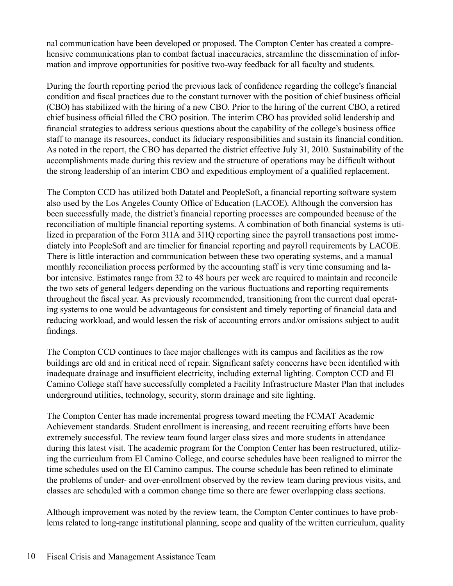nal communication have been developed or proposed. The Compton Center has created a comprehensive communications plan to combat factual inaccuracies, streamline the dissemination of information and improve opportunities for positive two-way feedback for all faculty and students.

During the fourth reporting period the previous lack of confidence regarding the college's financial condition and fiscal practices due to the constant turnover with the position of chief business official (CBO) has stabilized with the hiring of a new CBO. Prior to the hiring of the current CBO, a retired chief business official filled the CBO position. The interim CBO has provided solid leadership and financial strategies to address serious questions about the capability of the college's business office staff to manage its resources, conduct its fiduciary responsibilities and sustain its financial condition. As noted in the report, the CBO has departed the district effective July 31, 2010. Sustainability of the accomplishments made during this review and the structure of operations may be difficult without the strong leadership of an interim CBO and expeditious employment of a qualified replacement.

The Compton CCD has utilized both Datatel and PeopleSoft, a financial reporting software system also used by the Los Angeles County Office of Education (LACOE). Although the conversion has been successfully made, the district's financial reporting processes are compounded because of the reconciliation of multiple financial reporting systems. A combination of both financial systems is utilized in preparation of the Form 311A and 311Q reporting since the payroll transactions post immediately into PeopleSoft and are timelier for financial reporting and payroll requirements by LACOE. There is little interaction and communication between these two operating systems, and a manual monthly reconciliation process performed by the accounting staff is very time consuming and labor intensive. Estimates range from 32 to 48 hours per week are required to maintain and reconcile the two sets of general ledgers depending on the various fluctuations and reporting requirements throughout the fiscal year. As previously recommended, transitioning from the current dual operating systems to one would be advantageous for consistent and timely reporting of financial data and reducing workload, and would lessen the risk of accounting errors and/or omissions subject to audit findings.

The Compton CCD continues to face major challenges with its campus and facilities as the row buildings are old and in critical need of repair. Significant safety concerns have been identified with inadequate drainage and insufficient electricity, including external lighting. Compton CCD and El Camino College staff have successfully completed a Facility Infrastructure Master Plan that includes underground utilities, technology, security, storm drainage and site lighting.

The Compton Center has made incremental progress toward meeting the FCMAT Academic Achievement standards. Student enrollment is increasing, and recent recruiting efforts have been extremely successful. The review team found larger class sizes and more students in attendance during this latest visit. The academic program for the Compton Center has been restructured, utilizing the curriculum from El Camino College, and course schedules have been realigned to mirror the time schedules used on the El Camino campus. The course schedule has been refined to eliminate the problems of under- and over-enrollment observed by the review team during previous visits, and classes are scheduled with a common change time so there are fewer overlapping class sections.

Although improvement was noted by the review team, the Compton Center continues to have problems related to long-range institutional planning, scope and quality of the written curriculum, quality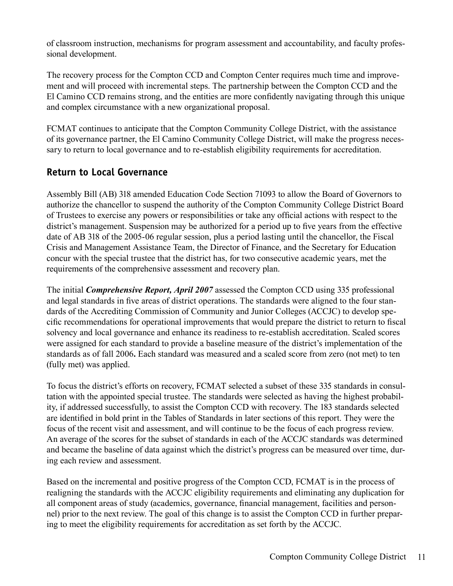of classroom instruction, mechanisms for program assessment and accountability, and faculty professional development.

The recovery process for the Compton CCD and Compton Center requires much time and improvement and will proceed with incremental steps. The partnership between the Compton CCD and the El Camino CCD remains strong, and the entities are more confidently navigating through this unique and complex circumstance with a new organizational proposal.

FCMAT continues to anticipate that the Compton Community College District, with the assistance of its governance partner, the El Camino Community College District, will make the progress necessary to return to local governance and to re-establish eligibility requirements for accreditation.

#### **Return to Local Governance**

Assembly Bill (AB) 318 amended Education Code Section 71093 to allow the Board of Governors to authorize the chancellor to suspend the authority of the Compton Community College District Board of Trustees to exercise any powers or responsibilities or take any official actions with respect to the district's management. Suspension may be authorized for a period up to five years from the effective date of AB 318 of the 2005-06 regular session, plus a period lasting until the chancellor, the Fiscal Crisis and Management Assistance Team, the Director of Finance, and the Secretary for Education concur with the special trustee that the district has, for two consecutive academic years, met the requirements of the comprehensive assessment and recovery plan.

The initial *Comprehensive Report, April 2007* assessed the Compton CCD using 335 professional and legal standards in five areas of district operations. The standards were aligned to the four standards of the Accrediting Commission of Community and Junior Colleges (ACCJC) to develop specific recommendations for operational improvements that would prepare the district to return to fiscal solvency and local governance and enhance its readiness to re-establish accreditation. Scaled scores were assigned for each standard to provide a baseline measure of the district's implementation of the standards as of fall 2006**.** Each standard was measured and a scaled score from zero (not met) to ten (fully met) was applied.

To focus the district's efforts on recovery, FCMAT selected a subset of these 335 standards in consultation with the appointed special trustee. The standards were selected as having the highest probability, if addressed successfully, to assist the Compton CCD with recovery. The 183 standards selected are identified in bold print in the Tables of Standards in later sections of this report. They were the focus of the recent visit and assessment, and will continue to be the focus of each progress review. An average of the scores for the subset of standards in each of the ACCJC standards was determined and became the baseline of data against which the district's progress can be measured over time, during each review and assessment.

Based on the incremental and positive progress of the Compton CCD, FCMAT is in the process of realigning the standards with the ACCJC eligibility requirements and eliminating any duplication for all component areas of study (academics, governance, financial management, facilities and personnel) prior to the next review. The goal of this change is to assist the Compton CCD in further preparing to meet the eligibility requirements for accreditation as set forth by the ACCJC.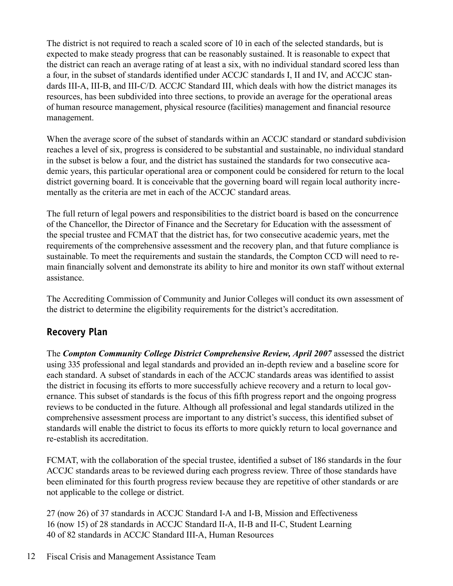The district is not required to reach a scaled score of 10 in each of the selected standards, but is expected to make steady progress that can be reasonably sustained. It is reasonable to expect that the district can reach an average rating of at least a six, with no individual standard scored less than a four, in the subset of standards identified under ACCJC standards I, II and IV, and ACCJC standards III-A, III-B, and III-C/D. ACCJC Standard III, which deals with how the district manages its resources, has been subdivided into three sections, to provide an average for the operational areas of human resource management, physical resource (facilities) management and financial resource management.

When the average score of the subset of standards within an ACCJC standard or standard subdivision reaches a level of six, progress is considered to be substantial and sustainable, no individual standard in the subset is below a four, and the district has sustained the standards for two consecutive academic years, this particular operational area or component could be considered for return to the local district governing board. It is conceivable that the governing board will regain local authority incrementally as the criteria are met in each of the ACCJC standard areas.

The full return of legal powers and responsibilities to the district board is based on the concurrence of the Chancellor, the Director of Finance and the Secretary for Education with the assessment of the special trustee and FCMAT that the district has, for two consecutive academic years, met the requirements of the comprehensive assessment and the recovery plan, and that future compliance is sustainable. To meet the requirements and sustain the standards, the Compton CCD will need to remain financially solvent and demonstrate its ability to hire and monitor its own staff without external assistance.

The Accrediting Commission of Community and Junior Colleges will conduct its own assessment of the district to determine the eligibility requirements for the district's accreditation.

#### **Recovery Plan**

The *Compton Community College District Comprehensive Review, April 2007* assessed the district using 335 professional and legal standards and provided an in-depth review and a baseline score for each standard. A subset of standards in each of the ACCJC standards areas was identified to assist the district in focusing its efforts to more successfully achieve recovery and a return to local governance. This subset of standards is the focus of this fifth progress report and the ongoing progress reviews to be conducted in the future. Although all professional and legal standards utilized in the comprehensive assessment process are important to any district's success, this identified subset of standards will enable the district to focus its efforts to more quickly return to local governance and re-establish its accreditation.

FCMAT, with the collaboration of the special trustee, identified a subset of 186 standards in the four ACCJC standards areas to be reviewed during each progress review. Three of those standards have been eliminated for this fourth progress review because they are repetitive of other standards or are not applicable to the college or district.

27 (now 26) of 37 standards in ACCJC Standard I-A and I-B, Mission and Effectiveness 16 (now 15) of 28 standards in ACCJC Standard II-A, II-B and II-C, Student Learning 40 of 82 standards in ACCJC Standard III-A, Human Resources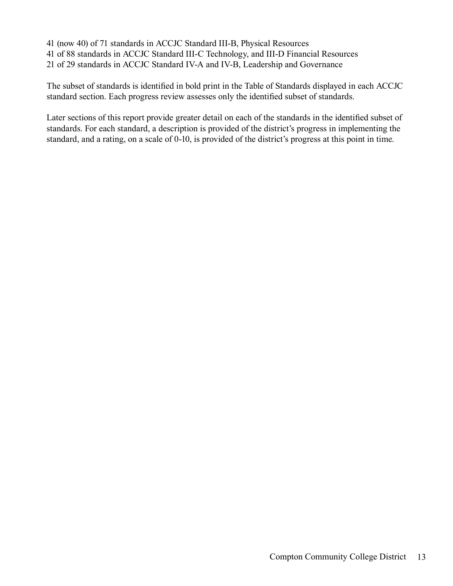- 41 (now 40) of 71 standards in ACCJC Standard III-B, Physical Resources
- 41 of 88 standards in ACCJC Standard III-C Technology, and III-D Financial Resources
- 21 of 29 standards in ACCJC Standard IV-A and IV-B, Leadership and Governance

The subset of standards is identified in bold print in the Table of Standards displayed in each ACCJC standard section. Each progress review assesses only the identified subset of standards.

Later sections of this report provide greater detail on each of the standards in the identified subset of standards. For each standard, a description is provided of the district's progress in implementing the standard, and a rating, on a scale of 0-10, is provided of the district's progress at this point in time.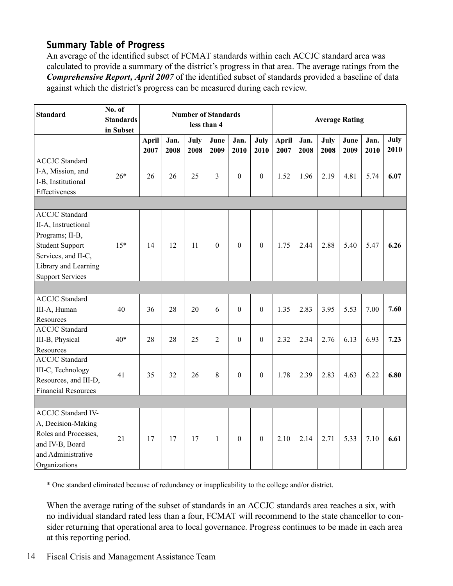#### **Summary Table of Progress**

An average of the identified subset of FCMAT standards within each ACCJC standard area was calculated to provide a summary of the district's progress in that area. The average ratings from the *Comprehensive Report, April 2007* of the identified subset of standards provided a baseline of data against which the district's progress can be measured during each review.

| <b>Standard</b>                                                                                                                                                     | No. of<br><b>Standards</b><br>in Subset | <b>Number of Standards</b><br>less than 4 |              |              |                |                  |                  | <b>Average Rating</b> |              |              |              |              |              |
|---------------------------------------------------------------------------------------------------------------------------------------------------------------------|-----------------------------------------|-------------------------------------------|--------------|--------------|----------------|------------------|------------------|-----------------------|--------------|--------------|--------------|--------------|--------------|
|                                                                                                                                                                     |                                         | April<br>2007                             | Jan.<br>2008 | July<br>2008 | June<br>2009   | Jan.<br>2010     | July<br>2010     | <b>April</b><br>2007  | Jan.<br>2008 | July<br>2008 | June<br>2009 | Jan.<br>2010 | July<br>2010 |
| <b>ACCJC</b> Standard<br>I-A, Mission, and<br>I-B, Institutional<br>Effectiveness                                                                                   | $26*$                                   | 26                                        | 26           | 25           | 3              | $\boldsymbol{0}$ | $\boldsymbol{0}$ | 1.52                  | 1.96         | 2.19         | 4.81         | 5.74         | 6.07         |
|                                                                                                                                                                     |                                         |                                           |              |              |                |                  |                  |                       |              |              |              |              |              |
| <b>ACCJC</b> Standard<br>II-A, Instructional<br>Programs; II-B,<br><b>Student Support</b><br>Services, and II-C,<br>Library and Learning<br><b>Support Services</b> | $15*$                                   | 14                                        | 12           | 11           | $\overline{0}$ | $\overline{0}$   | $\mathbf{0}$     | 1.75                  | 2.44         | 2.88         | 5.40         | 5.47         | 6.26         |
|                                                                                                                                                                     |                                         |                                           |              |              |                |                  |                  |                       |              |              |              |              |              |
| <b>ACCJC</b> Standard<br>III-A, Human<br>Resources                                                                                                                  | 40                                      | 36                                        | 28           | 20           | 6              | $\boldsymbol{0}$ | $\boldsymbol{0}$ | 1.35                  | 2.83         | 3.95         | 5.53         | 7.00         | 7.60         |
| <b>ACCJC</b> Standard<br>III-B, Physical<br>Resources                                                                                                               | $40*$                                   | 28                                        | 28           | 25           | 2              | $\boldsymbol{0}$ | $\boldsymbol{0}$ | 2.32                  | 2.34         | 2.76         | 6.13         | 6.93         | 7.23         |
| <b>ACCJC</b> Standard<br>III-C, Technology<br>Resources, and III-D,<br><b>Financial Resources</b>                                                                   | 41                                      | 35                                        | 32           | 26           | 8              | $\boldsymbol{0}$ | $\boldsymbol{0}$ | 1.78                  | 2.39         | 2.83         | 4.63         | 6.22         | 6.80         |
|                                                                                                                                                                     |                                         |                                           |              |              |                |                  |                  |                       |              |              |              |              |              |
| <b>ACCJC Standard IV-</b><br>A, Decision-Making<br>Roles and Processes,<br>and IV-B, Board<br>and Administrative<br>Organizations                                   | 21                                      | 17                                        | 17           | 17           | $\mathbf{1}$   | $\boldsymbol{0}$ | $\boldsymbol{0}$ | 2.10                  | 2.14         | 2.71         | 5.33         | 7.10         | 6.61         |

\* One standard eliminated because of redundancy or inapplicability to the college and/or district.

When the average rating of the subset of standards in an ACCJC standards area reaches a six, with no individual standard rated less than a four, FCMAT will recommend to the state chancellor to consider returning that operational area to local governance. Progress continues to be made in each area at this reporting period.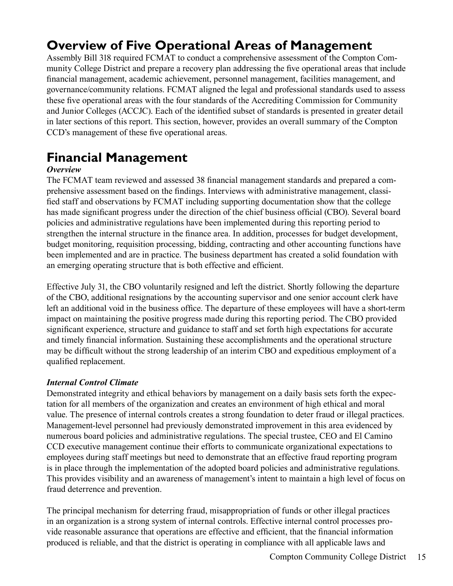### **Overview of Five Operational Areas of Management**

Assembly Bill 318 required FCMAT to conduct a comprehensive assessment of the Compton Community College District and prepare a recovery plan addressing the five operational areas that include financial management, academic achievement, personnel management, facilities management, and governance/community relations. FCMAT aligned the legal and professional standards used to assess these five operational areas with the four standards of the Accrediting Commission for Community and Junior Colleges (ACCJC). Each of the identified subset of standards is presented in greater detail in later sections of this report. This section, however, provides an overall summary of the Compton CCD's management of these five operational areas.

### **Financial Management**

#### *Overview*

The FCMAT team reviewed and assessed 38 financial management standards and prepared a comprehensive assessment based on the findings. Interviews with administrative management, classified staff and observations by FCMAT including supporting documentation show that the college has made significant progress under the direction of the chief business official (CBO). Several board policies and administrative regulations have been implemented during this reporting period to strengthen the internal structure in the finance area. In addition, processes for budget development, budget monitoring, requisition processing, bidding, contracting and other accounting functions have been implemented and are in practice. The business department has created a solid foundation with an emerging operating structure that is both effective and efficient.

Effective July 31, the CBO voluntarily resigned and left the district. Shortly following the departure of the CBO, additional resignations by the accounting supervisor and one senior account clerk have left an additional void in the business office. The departure of these employees will have a short-term impact on maintaining the positive progress made during this reporting period. The CBO provided significant experience, structure and guidance to staff and set forth high expectations for accurate and timely financial information. Sustaining these accomplishments and the operational structure may be difficult without the strong leadership of an interim CBO and expeditious employment of a qualified replacement.

#### *Internal Control Climate*

Demonstrated integrity and ethical behaviors by management on a daily basis sets forth the expectation for all members of the organization and creates an environment of high ethical and moral value. The presence of internal controls creates a strong foundation to deter fraud or illegal practices. Management-level personnel had previously demonstrated improvement in this area evidenced by numerous board policies and administrative regulations. The special trustee, CEO and El Camino CCD executive management continue their efforts to communicate organizational expectations to employees during staff meetings but need to demonstrate that an effective fraud reporting program is in place through the implementation of the adopted board policies and administrative regulations. This provides visibility and an awareness of management's intent to maintain a high level of focus on fraud deterrence and prevention.

The principal mechanism for deterring fraud, misappropriation of funds or other illegal practices in an organization is a strong system of internal controls. Effective internal control processes provide reasonable assurance that operations are effective and efficient, that the financial information produced is reliable, and that the district is operating in compliance with all applicable laws and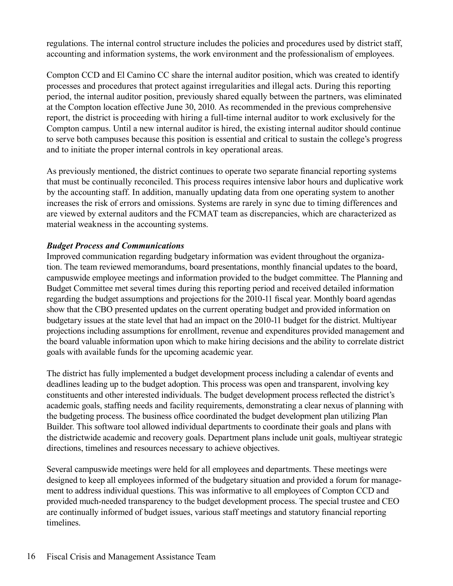regulations. The internal control structure includes the policies and procedures used by district staff, accounting and information systems, the work environment and the professionalism of employees.

Compton CCD and El Camino CC share the internal auditor position, which was created to identify processes and procedures that protect against irregularities and illegal acts. During this reporting period, the internal auditor position, previously shared equally between the partners, was eliminated at the Compton location effective June 30, 2010. As recommended in the previous comprehensive report, the district is proceeding with hiring a full-time internal auditor to work exclusively for the Compton campus. Until a new internal auditor is hired, the existing internal auditor should continue to serve both campuses because this position is essential and critical to sustain the college's progress and to initiate the proper internal controls in key operational areas.

As previously mentioned, the district continues to operate two separate financial reporting systems that must be continually reconciled. This process requires intensive labor hours and duplicative work by the accounting staff. In addition, manually updating data from one operating system to another increases the risk of errors and omissions. Systems are rarely in sync due to timing differences and are viewed by external auditors and the FCMAT team as discrepancies, which are characterized as material weakness in the accounting systems.

#### *Budget Process and Communications*

Improved communication regarding budgetary information was evident throughout the organization. The team reviewed memorandums, board presentations, monthly financial updates to the board, campuswide employee meetings and information provided to the budget committee. The Planning and Budget Committee met several times during this reporting period and received detailed information regarding the budget assumptions and projections for the 2010-11 fiscal year. Monthly board agendas show that the CBO presented updates on the current operating budget and provided information on budgetary issues at the state level that had an impact on the 2010-11 budget for the district. Multiyear projections including assumptions for enrollment, revenue and expenditures provided management and the board valuable information upon which to make hiring decisions and the ability to correlate district goals with available funds for the upcoming academic year.

The district has fully implemented a budget development process including a calendar of events and deadlines leading up to the budget adoption. This process was open and transparent, involving key constituents and other interested individuals. The budget development process reflected the district's academic goals, staffing needs and facility requirements, demonstrating a clear nexus of planning with the budgeting process. The business office coordinated the budget development plan utilizing Plan Builder. This software tool allowed individual departments to coordinate their goals and plans with the districtwide academic and recovery goals. Department plans include unit goals, multiyear strategic directions, timelines and resources necessary to achieve objectives.

Several campuswide meetings were held for all employees and departments. These meetings were designed to keep all employees informed of the budgetary situation and provided a forum for management to address individual questions. This was informative to all employees of Compton CCD and provided much-needed transparency to the budget development process. The special trustee and CEO are continually informed of budget issues, various staff meetings and statutory financial reporting timelines.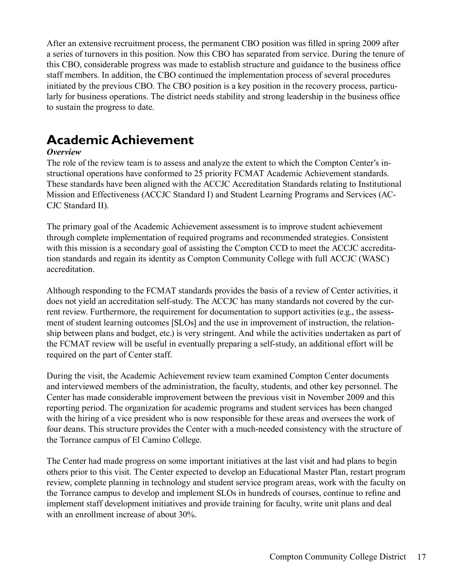After an extensive recruitment process, the permanent CBO position was filled in spring 2009 after a series of turnovers in this position. Now this CBO has separated from service. During the tenure of this CBO, considerable progress was made to establish structure and guidance to the business office staff members. In addition, the CBO continued the implementation process of several procedures initiated by the previous CBO. The CBO position is a key position in the recovery process, particularly for business operations. The district needs stability and strong leadership in the business office to sustain the progress to date.

### **Academic Achievement**

#### *Overview*

The role of the review team is to assess and analyze the extent to which the Compton Center's instructional operations have conformed to 25 priority FCMAT Academic Achievement standards. These standards have been aligned with the ACCJC Accreditation Standards relating to Institutional Mission and Effectiveness (ACCJC Standard I) and Student Learning Programs and Services (AC-CJC Standard II).

The primary goal of the Academic Achievement assessment is to improve student achievement through complete implementation of required programs and recommended strategies. Consistent with this mission is a secondary goal of assisting the Compton CCD to meet the ACCJC accreditation standards and regain its identity as Compton Community College with full ACCJC (WASC) accreditation.

Although responding to the FCMAT standards provides the basis of a review of Center activities, it does not yield an accreditation self-study. The ACCJC has many standards not covered by the current review. Furthermore, the requirement for documentation to support activities (e.g., the assessment of student learning outcomes [SLOs] and the use in improvement of instruction, the relationship between plans and budget, etc.) is very stringent. And while the activities undertaken as part of the FCMAT review will be useful in eventually preparing a self-study, an additional effort will be required on the part of Center staff.

During the visit, the Academic Achievement review team examined Compton Center documents and interviewed members of the administration, the faculty, students, and other key personnel. The Center has made considerable improvement between the previous visit in November 2009 and this reporting period. The organization for academic programs and student services has been changed with the hiring of a vice president who is now responsible for these areas and oversees the work of four deans. This structure provides the Center with a much-needed consistency with the structure of the Torrance campus of El Camino College.

The Center had made progress on some important initiatives at the last visit and had plans to begin others prior to this visit. The Center expected to develop an Educational Master Plan, restart program review, complete planning in technology and student service program areas, work with the faculty on the Torrance campus to develop and implement SLOs in hundreds of courses, continue to refine and implement staff development initiatives and provide training for faculty, write unit plans and deal with an enrollment increase of about 30%.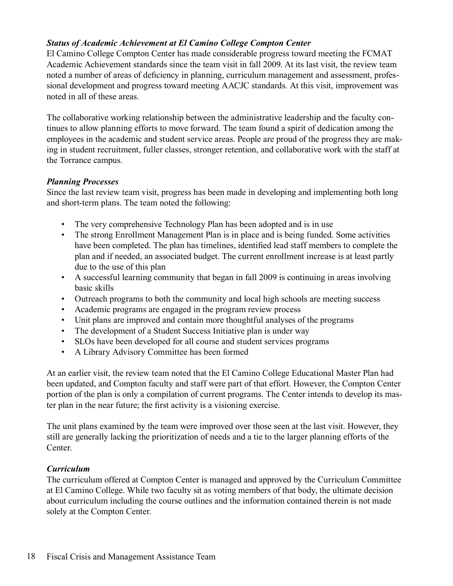#### *Status of Academic Achievement at El Camino College Compton Center*

El Camino College Compton Center has made considerable progress toward meeting the FCMAT Academic Achievement standards since the team visit in fall 2009. At its last visit, the review team noted a number of areas of deficiency in planning, curriculum management and assessment, professional development and progress toward meeting AACJC standards. At this visit, improvement was noted in all of these areas.

The collaborative working relationship between the administrative leadership and the faculty continues to allow planning efforts to move forward. The team found a spirit of dedication among the employees in the academic and student service areas. People are proud of the progress they are making in student recruitment, fuller classes, stronger retention, and collaborative work with the staff at the Torrance campus.

#### *Planning Processes*

Since the last review team visit, progress has been made in developing and implementing both long and short-term plans. The team noted the following:

- The very comprehensive Technology Plan has been adopted and is in use
- The strong Enrollment Management Plan is in place and is being funded. Some activities have been completed. The plan has timelines, identified lead staff members to complete the plan and if needed, an associated budget. The current enrollment increase is at least partly due to the use of this plan
- A successful learning community that began in fall 2009 is continuing in areas involving basic skills
- Outreach programs to both the community and local high schools are meeting success
- Academic programs are engaged in the program review process
- Unit plans are improved and contain more thoughtful analyses of the programs
- The development of a Student Success Initiative plan is under way
- SLOs have been developed for all course and student services programs
- A Library Advisory Committee has been formed

At an earlier visit, the review team noted that the El Camino College Educational Master Plan had been updated, and Compton faculty and staff were part of that effort. However, the Compton Center portion of the plan is only a compilation of current programs. The Center intends to develop its master plan in the near future; the first activity is a visioning exercise.

The unit plans examined by the team were improved over those seen at the last visit. However, they still are generally lacking the prioritization of needs and a tie to the larger planning efforts of the **Center** 

#### *Curriculum*

The curriculum offered at Compton Center is managed and approved by the Curriculum Committee at El Camino College. While two faculty sit as voting members of that body, the ultimate decision about curriculum including the course outlines and the information contained therein is not made solely at the Compton Center.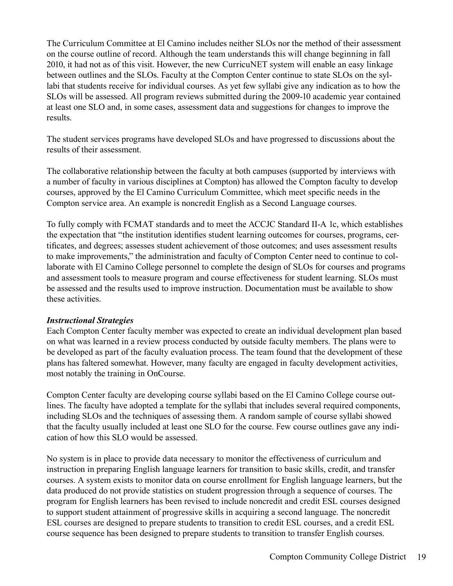The Curriculum Committee at El Camino includes neither SLOs nor the method of their assessment on the course outline of record. Although the team understands this will change beginning in fall 2010, it had not as of this visit. However, the new CurricuNET system will enable an easy linkage between outlines and the SLOs. Faculty at the Compton Center continue to state SLOs on the syllabi that students receive for individual courses. As yet few syllabi give any indication as to how the SLOs will be assessed. All program reviews submitted during the 2009-10 academic year contained at least one SLO and, in some cases, assessment data and suggestions for changes to improve the results.

The student services programs have developed SLOs and have progressed to discussions about the results of their assessment.

The collaborative relationship between the faculty at both campuses (supported by interviews with a number of faculty in various disciplines at Compton) has allowed the Compton faculty to develop courses, approved by the El Camino Curriculum Committee, which meet specific needs in the Compton service area. An example is noncredit English as a Second Language courses.

To fully comply with FCMAT standards and to meet the ACCJC Standard II-A 1c, which establishes the expectation that "the institution identifies student learning outcomes for courses, programs, certificates, and degrees; assesses student achievement of those outcomes; and uses assessment results to make improvements," the administration and faculty of Compton Center need to continue to collaborate with El Camino College personnel to complete the design of SLOs for courses and programs and assessment tools to measure program and course effectiveness for student learning. SLOs must be assessed and the results used to improve instruction. Documentation must be available to show these activities.

#### *Instructional Strategies*

Each Compton Center faculty member was expected to create an individual development plan based on what was learned in a review process conducted by outside faculty members. The plans were to be developed as part of the faculty evaluation process. The team found that the development of these plans has faltered somewhat. However, many faculty are engaged in faculty development activities, most notably the training in OnCourse.

Compton Center faculty are developing course syllabi based on the El Camino College course outlines. The faculty have adopted a template for the syllabi that includes several required components, including SLOs and the techniques of assessing them. A random sample of course syllabi showed that the faculty usually included at least one SLO for the course. Few course outlines gave any indication of how this SLO would be assessed.

No system is in place to provide data necessary to monitor the effectiveness of curriculum and instruction in preparing English language learners for transition to basic skills, credit, and transfer courses. A system exists to monitor data on course enrollment for English language learners, but the data produced do not provide statistics on student progression through a sequence of courses. The program for English learners has been revised to include noncredit and credit ESL courses designed to support student attainment of progressive skills in acquiring a second language. The noncredit ESL courses are designed to prepare students to transition to credit ESL courses, and a credit ESL course sequence has been designed to prepare students to transition to transfer English courses.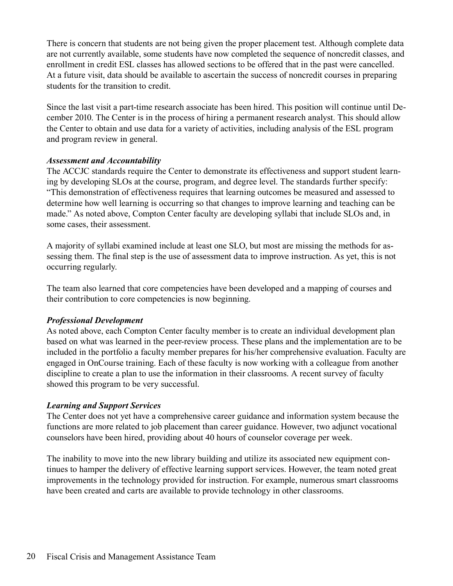There is concern that students are not being given the proper placement test. Although complete data are not currently available, some students have now completed the sequence of noncredit classes, and enrollment in credit ESL classes has allowed sections to be offered that in the past were cancelled. At a future visit, data should be available to ascertain the success of noncredit courses in preparing students for the transition to credit.

Since the last visit a part-time research associate has been hired. This position will continue until December 2010. The Center is in the process of hiring a permanent research analyst. This should allow the Center to obtain and use data for a variety of activities, including analysis of the ESL program and program review in general.

#### *Assessment and Accountability*

The ACCJC standards require the Center to demonstrate its effectiveness and support student learning by developing SLOs at the course, program, and degree level. The standards further specify: "This demonstration of effectiveness requires that learning outcomes be measured and assessed to determine how well learning is occurring so that changes to improve learning and teaching can be made." As noted above, Compton Center faculty are developing syllabi that include SLOs and, in some cases, their assessment.

A majority of syllabi examined include at least one SLO, but most are missing the methods for assessing them. The final step is the use of assessment data to improve instruction. As yet, this is not occurring regularly.

The team also learned that core competencies have been developed and a mapping of courses and their contribution to core competencies is now beginning.

#### *Professional Development*

As noted above, each Compton Center faculty member is to create an individual development plan based on what was learned in the peer-review process. These plans and the implementation are to be included in the portfolio a faculty member prepares for his/her comprehensive evaluation. Faculty are engaged in OnCourse training. Each of these faculty is now working with a colleague from another discipline to create a plan to use the information in their classrooms. A recent survey of faculty showed this program to be very successful.

#### *Learning and Support Services*

The Center does not yet have a comprehensive career guidance and information system because the functions are more related to job placement than career guidance. However, two adjunct vocational counselors have been hired, providing about 40 hours of counselor coverage per week.

The inability to move into the new library building and utilize its associated new equipment continues to hamper the delivery of effective learning support services. However, the team noted great improvements in the technology provided for instruction. For example, numerous smart classrooms have been created and carts are available to provide technology in other classrooms.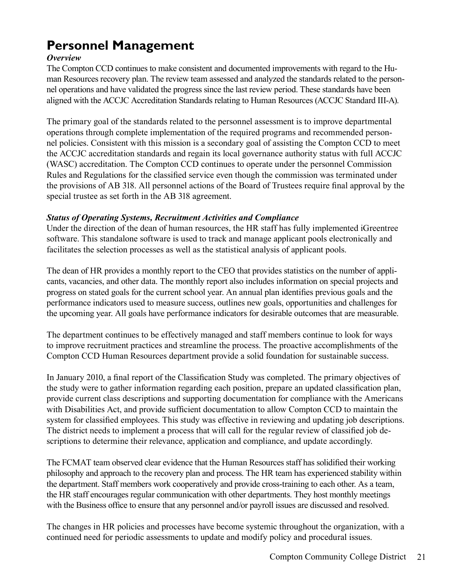# **Personnel Management**

#### *Overview*

The Compton CCD continues to make consistent and documented improvements with regard to the Human Resources recovery plan. The review team assessed and analyzed the standards related to the personnel operations and have validated the progress since the last review period. These standards have been aligned with the ACCJC Accreditation Standards relating to Human Resources (ACCJC Standard III-A).

The primary goal of the standards related to the personnel assessment is to improve departmental operations through complete implementation of the required programs and recommended personnel policies. Consistent with this mission is a secondary goal of assisting the Compton CCD to meet the ACCJC accreditation standards and regain its local governance authority status with full ACCJC (WASC) accreditation. The Compton CCD continues to operate under the personnel Commission Rules and Regulations for the classified service even though the commission was terminated under the provisions of AB 318. All personnel actions of the Board of Trustees require final approval by the special trustee as set forth in the AB 318 agreement.

#### *Status of Operating Systems, Recruitment Activities and Compliance*

Under the direction of the dean of human resources, the HR staff has fully implemented iGreentree software. This standalone software is used to track and manage applicant pools electronically and facilitates the selection processes as well as the statistical analysis of applicant pools.

The dean of HR provides a monthly report to the CEO that provides statistics on the number of applicants, vacancies, and other data. The monthly report also includes information on special projects and progress on stated goals for the current school year. An annual plan identifies previous goals and the performance indicators used to measure success, outlines new goals, opportunities and challenges for the upcoming year. All goals have performance indicators for desirable outcomes that are measurable.

The department continues to be effectively managed and staff members continue to look for ways to improve recruitment practices and streamline the process. The proactive accomplishments of the Compton CCD Human Resources department provide a solid foundation for sustainable success.

In January 2010, a final report of the Classification Study was completed. The primary objectives of the study were to gather information regarding each position, prepare an updated classification plan, provide current class descriptions and supporting documentation for compliance with the Americans with Disabilities Act, and provide sufficient documentation to allow Compton CCD to maintain the system for classified employees. This study was effective in reviewing and updating job descriptions. The district needs to implement a process that will call for the regular review of classified job descriptions to determine their relevance, application and compliance, and update accordingly.

The FCMAT team observed clear evidence that the Human Resources staff has solidified their working philosophy and approach to the recovery plan and process. The HR team has experienced stability within the department. Staff members work cooperatively and provide cross-training to each other. As a team, the HR staff encourages regular communication with other departments. They host monthly meetings with the Business office to ensure that any personnel and/or payroll issues are discussed and resolved.

The changes in HR policies and processes have become systemic throughout the organization, with a continued need for periodic assessments to update and modify policy and procedural issues.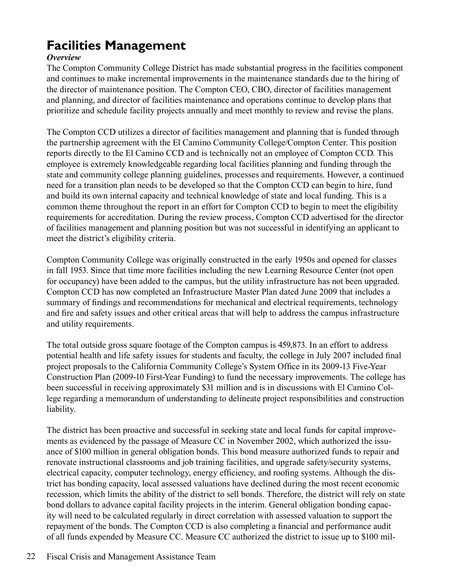# **Facilities Management**

#### *Overview*

The Compton Community College District has made substantial progress in the facilities component and continues to make incremental improvements in the maintenance standards due to the hiring of the director of maintenance position. The Compton CEO, CBO, director of facilities management and planning, and director of facilities maintenance and operations continue to develop plans that prioritize and schedule facility projects annually and meet monthly to review and revise the plans.

The Compton CCD utilizes a director of facilities management and planning that is funded through the partnership agreement with the El Camino Community College/Compton Center. This position reports directly to the El Camino CCD and is technically not an employee of Compton CCD. This employee is extremely knowledgeable regarding local facilities planning and funding through the state and community college planning guidelines, processes and requirements. However, a continued need for a transition plan needs to be developed so that the Compton CCD can begin to hire, fund and build its own internal capacity and technical knowledge of state and local funding. This is a common theme throughout the report in an effort for Compton CCD to begin to meet the eligibility requirements for accreditation. During the review process, Compton CCD advertised for the director of facilities management and planning position but was not successful in identifying an applicant to meet the district's eligibility criteria.

Compton Community College was originally constructed in the early 1950s and opened for classes in fall 1953. Since that time more facilities including the new Learning Resource Center (not open for occupancy) have been added to the campus, but the utility infrastructure has not been upgraded. Compton CCD has now completed an Infrastructure Master Plan dated June 2009 that includes a summary of findings and recommendations for mechanical and electrical requirements, technology and fire and safety issues and other critical areas that will help to address the campus infrastructure and utility requirements.

The total outside gross square footage of the Compton campus is 459,873. In an effort to address potential health and life safety issues for students and faculty, the college in July 2007 included final project proposals to the California Community College's System Office in its 2009-13 Five-Year Construction Plan (2009-10 First-Year Funding) to fund the necessary improvements. The college has been successful in receiving approximately \$31 million and is in discussions with El Camino College regarding a memorandum of understanding to delineate project responsibilities and construction liability.

The district has been proactive and successful in seeking state and local funds for capital improvements as evidenced by the passage of Measure CC in November 2002, which authorized the issuance of \$100 million in general obligation bonds. This bond measure authorized funds to repair and renovate instructional classrooms and job training facilities, and upgrade safety/security systems, electrical capacity, computer technology, energy efficiency, and roofing systems. Although the district has bonding capacity, local assessed valuations have declined during the most recent economic recession, which limits the ability of the district to sell bonds. Therefore, the district will rely on state bond dollars to advance capital facility projects in the interim. General obligation bonding capacity will need to be calculated regularly in direct correlation with assessed valuation to support the repayment of the bonds. The Compton CCD is also completing a financial and performance audit of all funds expended by Measure CC. Measure CC authorized the district to issue up to \$100 mil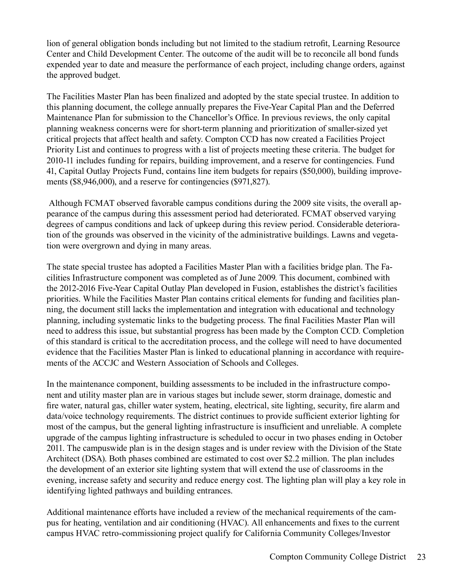lion of general obligation bonds including but not limited to the stadium retrofit, Learning Resource Center and Child Development Center. The outcome of the audit will be to reconcile all bond funds expended year to date and measure the performance of each project, including change orders, against the approved budget.

The Facilities Master Plan has been finalized and adopted by the state special trustee. In addition to this planning document, the college annually prepares the Five-Year Capital Plan and the Deferred Maintenance Plan for submission to the Chancellor's Office. In previous reviews, the only capital planning weakness concerns were for short-term planning and prioritization of smaller-sized yet critical projects that affect health and safety. Compton CCD has now created a Facilities Project Priority List and continues to progress with a list of projects meeting these criteria. The budget for 2010-11 includes funding for repairs, building improvement, and a reserve for contingencies. Fund 41, Capital Outlay Projects Fund, contains line item budgets for repairs (\$50,000), building improvements (\$8,946,000), and a reserve for contingencies (\$971,827).

 Although FCMAT observed favorable campus conditions during the 2009 site visits, the overall appearance of the campus during this assessment period had deteriorated. FCMAT observed varying degrees of campus conditions and lack of upkeep during this review period. Considerable deterioration of the grounds was observed in the vicinity of the administrative buildings. Lawns and vegetation were overgrown and dying in many areas.

The state special trustee has adopted a Facilities Master Plan with a facilities bridge plan. The Facilities Infrastructure component was completed as of June 2009. This document, combined with the 2012-2016 Five-Year Capital Outlay Plan developed in Fusion, establishes the district's facilities priorities. While the Facilities Master Plan contains critical elements for funding and facilities planning, the document still lacks the implementation and integration with educational and technology planning, including systematic links to the budgeting process. The final Facilities Master Plan will need to address this issue, but substantial progress has been made by the Compton CCD. Completion of this standard is critical to the accreditation process, and the college will need to have documented evidence that the Facilities Master Plan is linked to educational planning in accordance with requirements of the ACCJC and Western Association of Schools and Colleges.

In the maintenance component, building assessments to be included in the infrastructure component and utility master plan are in various stages but include sewer, storm drainage, domestic and fire water, natural gas, chiller water system, heating, electrical, site lighting, security, fire alarm and data/voice technology requirements. The district continues to provide sufficient exterior lighting for most of the campus, but the general lighting infrastructure is insufficient and unreliable. A complete upgrade of the campus lighting infrastructure is scheduled to occur in two phases ending in October 2011. The campuswide plan is in the design stages and is under review with the Division of the State Architect (DSA). Both phases combined are estimated to cost over \$2.2 million. The plan includes the development of an exterior site lighting system that will extend the use of classrooms in the evening, increase safety and security and reduce energy cost. The lighting plan will play a key role in identifying lighted pathways and building entrances.

Additional maintenance efforts have included a review of the mechanical requirements of the campus for heating, ventilation and air conditioning (HVAC). All enhancements and fixes to the current campus HVAC retro-commissioning project qualify for California Community Colleges/Investor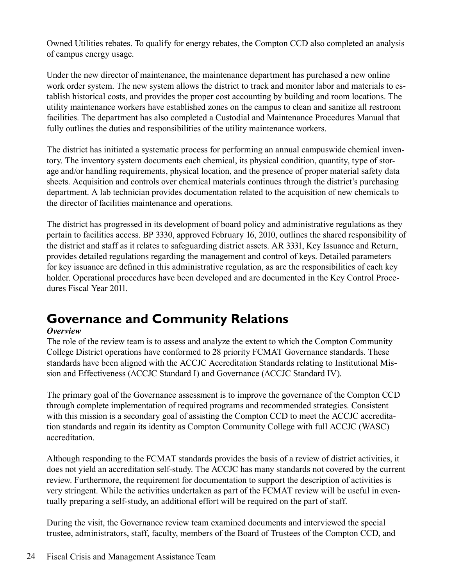Owned Utilities rebates. To qualify for energy rebates, the Compton CCD also completed an analysis of campus energy usage.

Under the new director of maintenance, the maintenance department has purchased a new online work order system. The new system allows the district to track and monitor labor and materials to establish historical costs, and provides the proper cost accounting by building and room locations. The utility maintenance workers have established zones on the campus to clean and sanitize all restroom facilities. The department has also completed a Custodial and Maintenance Procedures Manual that fully outlines the duties and responsibilities of the utility maintenance workers.

The district has initiated a systematic process for performing an annual campuswide chemical inventory. The inventory system documents each chemical, its physical condition, quantity, type of storage and/or handling requirements, physical location, and the presence of proper material safety data sheets. Acquisition and controls over chemical materials continues through the district's purchasing department. A lab technician provides documentation related to the acquisition of new chemicals to the director of facilities maintenance and operations.

The district has progressed in its development of board policy and administrative regulations as they pertain to facilities access. BP 3330, approved February 16, 2010, outlines the shared responsibility of the district and staff as it relates to safeguarding district assets. AR 3331, Key Issuance and Return, provides detailed regulations regarding the management and control of keys. Detailed parameters for key issuance are defined in this administrative regulation, as are the responsibilities of each key holder. Operational procedures have been developed and are documented in the Key Control Procedures Fiscal Year 2011.

### **Governance and Community Relations**

#### *Overview*

The role of the review team is to assess and analyze the extent to which the Compton Community College District operations have conformed to 28 priority FCMAT Governance standards. These standards have been aligned with the ACCJC Accreditation Standards relating to Institutional Mission and Effectiveness (ACCJC Standard I) and Governance (ACCJC Standard IV).

The primary goal of the Governance assessment is to improve the governance of the Compton CCD through complete implementation of required programs and recommended strategies. Consistent with this mission is a secondary goal of assisting the Compton CCD to meet the ACCJC accreditation standards and regain its identity as Compton Community College with full ACCJC (WASC) accreditation.

Although responding to the FCMAT standards provides the basis of a review of district activities, it does not yield an accreditation self-study. The ACCJC has many standards not covered by the current review. Furthermore, the requirement for documentation to support the description of activities is very stringent. While the activities undertaken as part of the FCMAT review will be useful in eventually preparing a self-study, an additional effort will be required on the part of staff.

During the visit, the Governance review team examined documents and interviewed the special trustee, administrators, staff, faculty, members of the Board of Trustees of the Compton CCD, and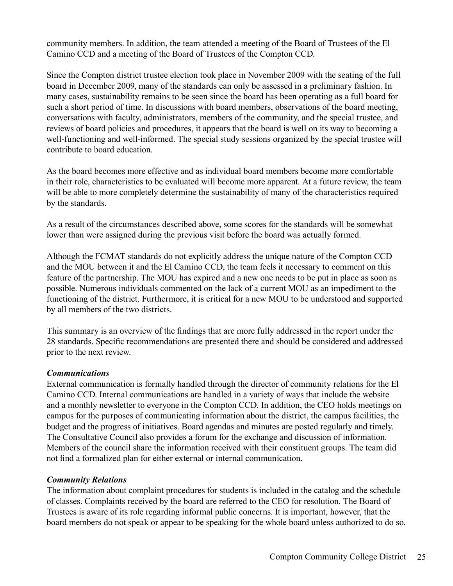community members. In addition, the team attended a meeting of the Board of Trustees of the El Camino CCD and a meeting of the Board of Trustees of the Compton CCD.

Since the Compton district trustee election took place in November 2009 with the seating of the full board in December 2009, many of the standards can only be assessed in a preliminary fashion. In many cases, sustainability remains to be seen since the board has been operating as a full board for such a short period of time. In discussions with board members, observations of the board meeting, conversations with faculty, administrators, members of the community, and the special trustee, and reviews of board policies and procedures, it appears that the board is well on its way to becoming a well-functioning and well-informed. The special study sessions organized by the special trustee will contribute to board education.

As the board becomes more effective and as individual board members become more comfortable in their role, characteristics to be evaluated will become more apparent. At a future review, the team will be able to more completely determine the sustainability of many of the characteristics required by the standards.

As a result of the circumstances described above, some scores for the standards will be somewhat lower than were assigned during the previous visit before the board was actually formed.

Although the FCMAT standards do not explicitly address the unique nature of the Compton CCD and the MOU between it and the El Camino CCD, the team feels it necessary to comment on this feature of the partnership. The MOU has expired and a new one needs to be put in place as soon as possible. Numerous individuals commented on the lack of a current MOU as an impediment to the functioning of the district. Furthermore, it is critical for a new MOU to be understood and supported by all members of the two districts.

This summary is an overview of the findings that are more fully addressed in the report under the 28 standards. Specific recommendations are presented there and should be considered and addressed prior to the next review.

#### *Communications*

External communication is formally handled through the director of community relations for the El Camino CCD. Internal communications are handled in a variety of ways that include the website and a monthly newsletter to everyone in the Compton CCD. In addition, the CEO holds meetings on campus for the purposes of communicating information about the district, the campus facilities, the budget and the progress of initiatives. Board agendas and minutes are posted regularly and timely. The Consultative Council also provides a forum for the exchange and discussion of information. Members of the council share the information received with their constituent groups. The team did not find a formalized plan for either external or internal communication.

#### *Community Relations*

The information about complaint procedures for students is included in the catalog and the schedule of classes. Complaints received by the board are referred to the CEO for resolution. The Board of Trustees is aware of its role regarding informal public concerns. It is important, however, that the board members do not speak or appear to be speaking for the whole board unless authorized to do so.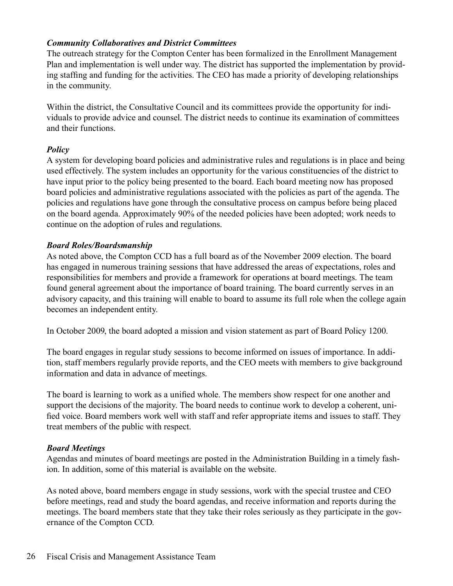#### *Community Collaboratives and District Committees*

The outreach strategy for the Compton Center has been formalized in the Enrollment Management Plan and implementation is well under way. The district has supported the implementation by providing staffing and funding for the activities. The CEO has made a priority of developing relationships in the community.

Within the district, the Consultative Council and its committees provide the opportunity for individuals to provide advice and counsel. The district needs to continue its examination of committees and their functions.

#### *Policy*

A system for developing board policies and administrative rules and regulations is in place and being used effectively. The system includes an opportunity for the various constituencies of the district to have input prior to the policy being presented to the board. Each board meeting now has proposed board policies and administrative regulations associated with the policies as part of the agenda. The policies and regulations have gone through the consultative process on campus before being placed on the board agenda. Approximately 90% of the needed policies have been adopted; work needs to continue on the adoption of rules and regulations.

#### *Board Roles/Boardsmanship*

As noted above, the Compton CCD has a full board as of the November 2009 election. The board has engaged in numerous training sessions that have addressed the areas of expectations, roles and responsibilities for members and provide a framework for operations at board meetings. The team found general agreement about the importance of board training. The board currently serves in an advisory capacity, and this training will enable to board to assume its full role when the college again becomes an independent entity.

In October 2009, the board adopted a mission and vision statement as part of Board Policy 1200.

The board engages in regular study sessions to become informed on issues of importance. In addition, staff members regularly provide reports, and the CEO meets with members to give background information and data in advance of meetings.

The board is learning to work as a unified whole. The members show respect for one another and support the decisions of the majority. The board needs to continue work to develop a coherent, unified voice. Board members work well with staff and refer appropriate items and issues to staff. They treat members of the public with respect.

#### *Board Meetings*

Agendas and minutes of board meetings are posted in the Administration Building in a timely fashion. In addition, some of this material is available on the website.

As noted above, board members engage in study sessions, work with the special trustee and CEO before meetings, read and study the board agendas, and receive information and reports during the meetings. The board members state that they take their roles seriously as they participate in the governance of the Compton CCD.